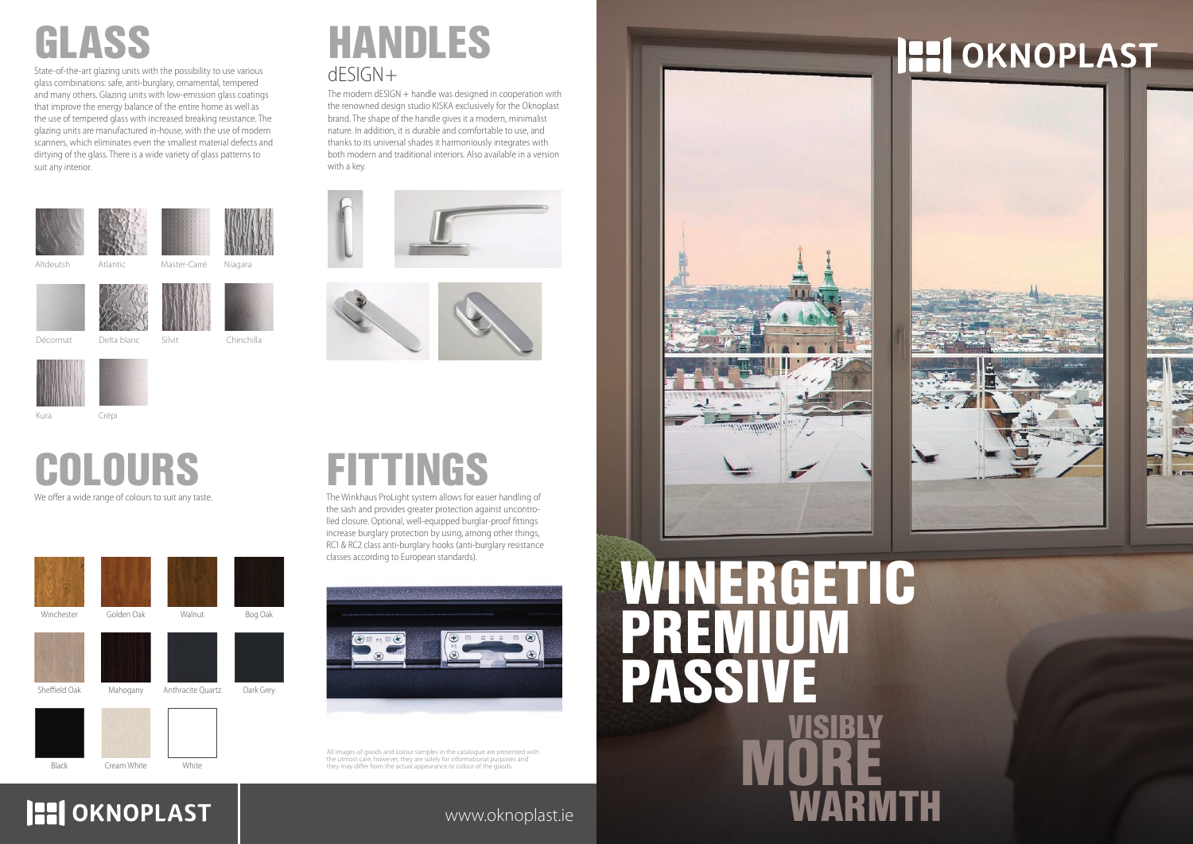www.oknoplast.ie

We offer a wide range of colours to suit any taste. COLOURS

State-of-the-art glazing units with the possibility to use various glass combinations: safe, anti-burglary, ornamental, tempered and many others. Glazing units with low-emission glass coatings that improve the energy balance of the entire home as well as the use of tempered glass with increased breaking resistance. The glazing units are manufactured in-house, with the use of modern scanners, which eliminates even the smallest material defects and dirtying of the glass. There is a wide variety of glass patterns to suit any interior.

Altdeutsh Atlantic





Niagara

Silvit Chinchilla



Master-Carré





### **HI OKNOPLAST**

# **HI OKNOPLAST**





### dESIGN+ HANDLES

The modern dESIGN + handle was designed in cooperation with the renowned design studio KISKA exclusively for the Oknoplast brand. The shape of the handle gives it a modern, minimalist nature. In addition, it is durable and comfortable to use, and thanks to its universal shades it harmoniously integrates with both modern and traditional interiors. Also available in a version with a key.



## FITTINGS

The Winkhaus ProLight system allows for easier handling of the sash and provides greater protection against uncontrolled closure. Optional, well-equipped burglar-proof fittings increase burglary protection by using, among other things, RC1 & RC2 class anti-burglary hooks (anti-burglary resistance classes according to European standards).



All images of goods and colour samples in the catalogue are presented with<br>the utmost care, however, they are solely for informational purposes and<br>they may differ from the actual appearance or colour of the goods.





Black Cream White White